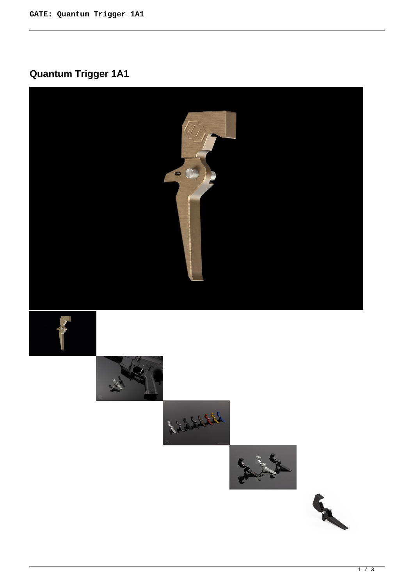## **Quantum Trigger 1A1**

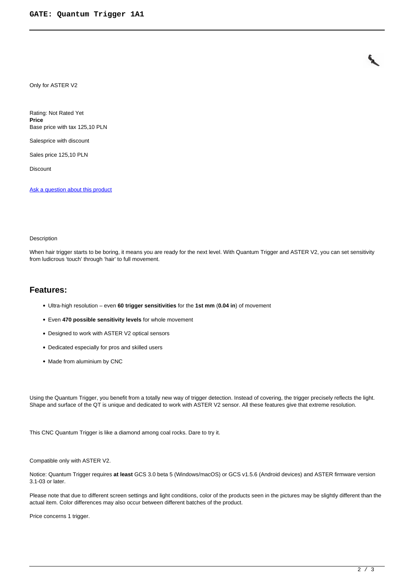Only for ASTER V2

Rating: Not Rated Yet **Price**  Base price with tax 125,10 PLN

Salesprice with discount

Sales price 125,10 PLN

Discount

[Ask a question about this product](https://www.gatee.eu/index.php?option=com_virtuemart&view=productdetails&task=askquestion&virtuemart_product_id=57&virtuemart_category_id=1&tmpl=component)

## Description

When hair trigger starts to be boring, it means you are ready for the next level. With Quantum Trigger and ASTER V2, you can set sensitivity from ludicrous 'touch' through 'hair' to full movement.

## **Features:**

- Ultra-high resolution even **60 trigger sensitivities** for the **1st mm** (**0.04 in**) of movement
- Even **470 possible sensitivity levels** for whole movement
- Designed to work with ASTER V2 optical sensors
- Dedicated especially for pros and skilled users
- Made from aluminium by CNC

Using the Quantum Trigger, you benefit from a totally new way of trigger detection. Instead of covering, the trigger precisely reflects the light. Shape and surface of the QT is unique and dedicated to work with ASTER V2 sensor. All these features give that extreme resolution.

This CNC Quantum Trigger is like a diamond among coal rocks. Dare to try it.

Compatible only with ASTER V2.

Notice: Quantum Trigger requires **at least** GCS 3.0 beta 5 (Windows/macOS) or GCS v1.5.6 (Android devices) and ASTER firmware version 3.1-03 or later.

Please note that due to different screen settings and light conditions, color of the products seen in the pictures may be slightly different than the actual item. Color differences may also occur between different batches of the product.

Price concerns 1 trigger.